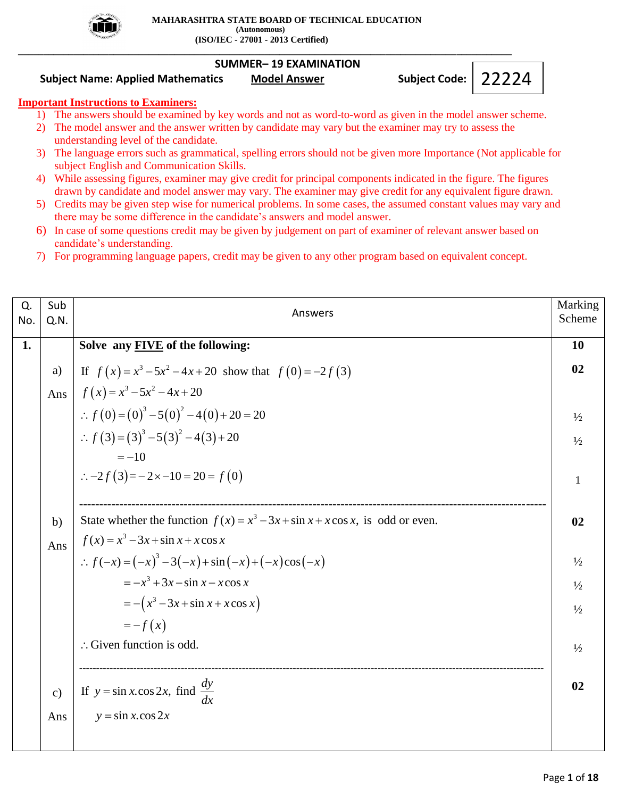

### **SUMMER– 19 EXAMINATION**

**\_\_\_\_\_\_\_\_\_\_\_\_\_\_\_\_\_\_\_\_\_\_\_\_\_\_\_\_\_\_\_\_\_\_\_\_\_\_\_\_\_\_\_\_\_\_\_\_\_\_\_\_\_\_\_\_\_\_\_\_\_\_\_\_\_\_\_\_\_\_\_\_\_\_\_\_\_\_\_\_\_\_\_\_\_\_\_\_\_\_\_\_\_\_\_\_\_\_**

## **Subject Name: Applied Mathematics Model Answer Subject Code:**

### **Important Instructions to Examiners:**

- 1) The answers should be examined by key words and not as word-to-word as given in the model answer scheme.
- 2) The model answer and the answer written by candidate may vary but the examiner may try to assess the understanding level of the candidate.
- 3) The language errors such as grammatical, spelling errors should not be given more Importance (Not applicable for subject English and Communication Skills.
- 4) While assessing figures, examiner may give credit for principal components indicated in the figure. The figures drawn by candidate and model answer may vary. The examiner may give credit for any equivalent figure drawn.
- 5) Credits may be given step wise for numerical problems. In some cases, the assumed constant values may vary and there may be some difference in the candidate's answers and model answer.
- 6) In case of some questions credit may be given by judgement on part of examiner of relevant answer based on candidate's understanding.
- 7) For programming language papers, credit may be given to any other program based on equivalent concept.

| Q.<br>No. | Sub<br>Q.N.   | Answers                                                                            | Marking<br>Scheme |
|-----------|---------------|------------------------------------------------------------------------------------|-------------------|
| 1.        |               | Solve any <b>FIVE</b> of the following:                                            | <b>10</b>         |
|           | a)            | If $f(x) = x^3 - 5x^2 - 4x + 20$ show that $f(0) = -2f(3)$                         | 02                |
|           | Ans           | $f(x) = x^3 - 5x^2 - 4x + 20$                                                      |                   |
|           |               | $\therefore f(0) = (0)^3 - 5(0)^2 - 4(0) + 20 = 20$                                | $\frac{1}{2}$     |
|           |               | $\therefore f(3) = (3)^3 - 5(3)^2 - 4(3) + 20$                                     | $\frac{1}{2}$     |
|           |               | $=-10$                                                                             |                   |
|           |               | $\therefore -2f(3) = -2 \times -10 = 20 = f(0)$                                    | $\mathbf{1}$      |
|           |               |                                                                                    |                   |
|           | b)            | State whether the function $f(x) = x^3 - 3x + \sin x + x \cos x$ , is odd or even. | 02                |
|           | Ans           | $f(x) = x^3 - 3x + \sin x + x \cos x$                                              |                   |
|           |               | $\therefore f(-x) = (-x)^3 - 3(-x) + \sin(-x) + (-x)\cos(-x)$                      | $\frac{1}{2}$     |
|           |               | $=-x^3+3x-\sin x-x\cos x$                                                          | $\frac{1}{2}$     |
|           |               | $= - (x^3 - 3x + \sin x + x \cos x)$                                               | $\frac{1}{2}$     |
|           |               | $=-f(x)$                                                                           |                   |
|           |               | $\therefore$ Given function is odd.                                                | $\frac{1}{2}$     |
|           |               |                                                                                    |                   |
|           | $\mathbf{c})$ | If $y = \sin x \cdot \cos 2x$ , find $\frac{dy}{dx}$                               | 02                |
|           | Ans           | $y = \sin x \cdot \cos 2x$                                                         |                   |
|           |               |                                                                                    |                   |

22224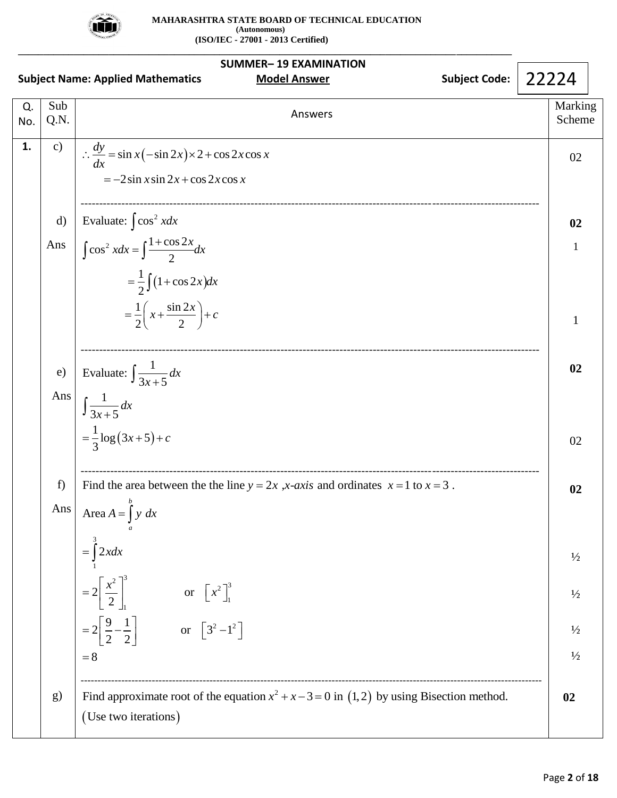

|           | <b>SUMMER-19 EXAMINATION</b><br>22224<br><b>Subject Code:</b><br><b>Model Answer</b><br><b>Subject Name: Applied Mathematics</b> |                                                                                                                                          |                   |  |  |
|-----------|----------------------------------------------------------------------------------------------------------------------------------|------------------------------------------------------------------------------------------------------------------------------------------|-------------------|--|--|
| Q.<br>No. | Sub<br>Q.N.                                                                                                                      | Answers                                                                                                                                  | Marking<br>Scheme |  |  |
| 1.        | $\mathbf{c})$                                                                                                                    | $\therefore \frac{dy}{dx} = \sin x (-\sin 2x) \times 2 + \cos 2x \cos x$<br>$=-2\sin x \sin 2x + \cos 2x \cos x$                         | 02                |  |  |
|           | $\mathbf{d}$                                                                                                                     | Evaluate: $\int \cos^2 x dx$                                                                                                             | 02                |  |  |
|           | Ans                                                                                                                              | $\int \cos^2 x dx = \int \frac{1+\cos 2x}{2} dx$<br>$=\frac{1}{2}\int (1+\cos 2x)dx$<br>$=\frac{1}{2}\left(x+\frac{\sin 2x}{2}\right)+c$ | 1<br>1            |  |  |
|           |                                                                                                                                  |                                                                                                                                          |                   |  |  |
|           | e)                                                                                                                               | Evaluate: $\int \frac{1}{3x+5} dx$                                                                                                       | 02                |  |  |
|           | Ans                                                                                                                              | $\int \frac{1}{3x+5} dx$                                                                                                                 |                   |  |  |
|           |                                                                                                                                  | $=\frac{1}{3}\log(3x+5)+c$                                                                                                               | 02                |  |  |
|           | f)                                                                                                                               | Find the area between the the line $y = 2x$ , x-axis and ordinates $x = 1$ to $x = 3$ .                                                  | 02                |  |  |
|           | Ans                                                                                                                              | Area $A = \int y dx$                                                                                                                     |                   |  |  |
|           |                                                                                                                                  | $=\int 2xdx$                                                                                                                             | $\frac{1}{2}$     |  |  |
|           |                                                                                                                                  | $=2\left[\frac{x^2}{2}\right]^2$<br>or $\left[x^2\right]_1^3$                                                                            | $\frac{1}{2}$     |  |  |
|           |                                                                                                                                  | $=2\left[\frac{9}{2}-\frac{1}{2}\right]$ or $\left[3^2-1^2\right]$                                                                       | $\frac{1}{2}$     |  |  |
|           |                                                                                                                                  | $= 8$                                                                                                                                    | $1/2$             |  |  |
|           | g)                                                                                                                               | Find approximate root of the equation $x^2 + x - 3 = 0$ in (1,2) by using Bisection method.<br>(Use two iterations)                      | 02                |  |  |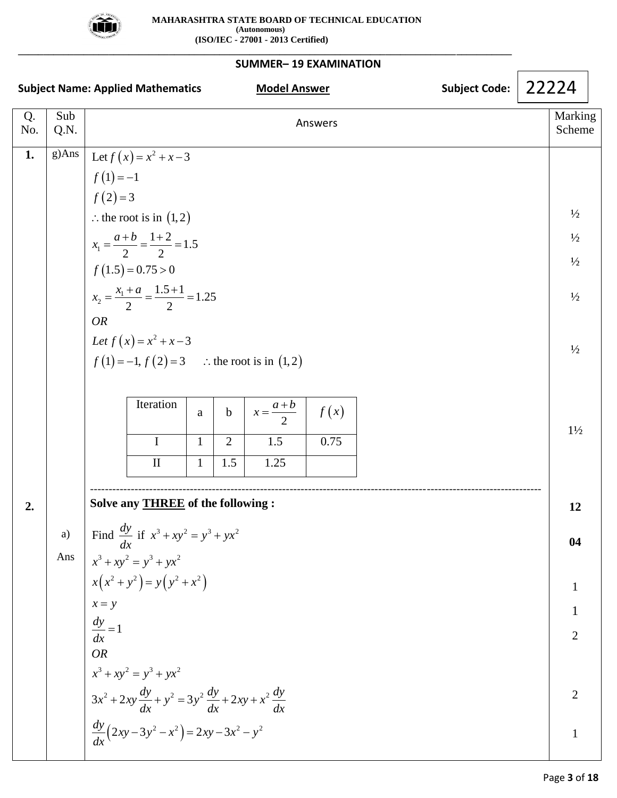

**\_\_\_\_\_\_\_\_\_\_\_\_\_\_\_\_\_\_\_\_\_\_\_\_\_\_\_\_\_\_\_\_\_\_\_\_\_\_\_\_\_\_\_\_\_\_\_\_\_\_\_\_\_\_\_\_\_\_\_\_\_\_\_\_\_\_\_\_\_\_\_\_\_\_\_\_\_\_\_\_\_\_\_\_\_\_\_\_\_\_\_\_\_\_\_\_\_\_**

## **SUMMER– 19 EXAMINATION**

| <b>Subject Name: Applied Mathematics</b> |             |                     |                                                                                         | <b>Model Answer</b> |                |                   | <b>Subject Code:</b> | 22224 |                   |  |
|------------------------------------------|-------------|---------------------|-----------------------------------------------------------------------------------------|---------------------|----------------|-------------------|----------------------|-------|-------------------|--|
| Q.<br>No.                                | Sub<br>Q.N. |                     |                                                                                         |                     |                |                   | Answers              |       | Marking<br>Scheme |  |
| 1.                                       |             |                     | g)Ans $\left  \text{Let } f(x) = x^2 + x - 3 \right $                                   |                     |                |                   |                      |       |                   |  |
|                                          |             | $f(1) = -1$         |                                                                                         |                     |                |                   |                      |       |                   |  |
|                                          |             | $f(2)=3$            |                                                                                         |                     |                |                   |                      |       |                   |  |
|                                          |             |                     | : the root is in $(1,2)$                                                                |                     |                |                   |                      |       | $\frac{1}{2}$     |  |
|                                          |             |                     | $x_1 = \frac{a+b}{2} = \frac{1+2}{2} = 1.5$                                             |                     |                |                   |                      |       | $\frac{1}{2}$     |  |
|                                          |             |                     | $f(1.5) = 0.75 > 0$                                                                     |                     |                |                   |                      |       | $\frac{1}{2}$     |  |
|                                          |             |                     | $x_2 = \frac{x_1 + a}{2} = \frac{1.5 + 1}{2} = 1.25$                                    |                     |                |                   |                      |       | $\frac{1}{2}$     |  |
|                                          |             | <b>OR</b>           |                                                                                         |                     |                |                   |                      |       |                   |  |
|                                          |             |                     | Let $f(x) = x^2 + x - 3$                                                                |                     |                |                   |                      |       | $\frac{1}{2}$     |  |
|                                          |             |                     | $f(1) = -1, f(2) = 3$ : the root is in (1,2)                                            |                     |                |                   |                      |       |                   |  |
|                                          |             |                     |                                                                                         |                     |                |                   |                      |       |                   |  |
|                                          |             |                     | Iteration                                                                               | $\mathbf{a}$        | $\mathbf b$    | $x=\frac{a+b}{2}$ | f(x)                 |       |                   |  |
|                                          |             |                     | I                                                                                       | $\mathbf{1}$        | $\overline{2}$ | 1.5               | 0.75                 |       | $1\frac{1}{2}$    |  |
|                                          |             |                     | $\mathbf{I}$                                                                            | $\mathbf{1}$        | 1.5            | 1.25              |                      |       |                   |  |
|                                          |             |                     |                                                                                         |                     |                |                   |                      |       |                   |  |
| 2.                                       |             |                     | Solve any <b>THREE</b> of the following :                                               |                     |                |                   |                      |       | 12                |  |
|                                          | a)          |                     | Find $\frac{dy}{dx}$ if $x^3 + xy^2 = y^3 + yx^2$                                       |                     |                |                   |                      |       | 04                |  |
|                                          | Ans         |                     | $x^3 + xy^2 = y^3 + yx^2$                                                               |                     |                |                   |                      |       |                   |  |
|                                          |             |                     | $x(x^2 + y^2) = y(y^2 + x^2)$                                                           |                     |                |                   |                      |       | 1                 |  |
|                                          |             | $x = y$             |                                                                                         |                     |                |                   |                      |       |                   |  |
|                                          |             | $\frac{dy}{dx} = 1$ |                                                                                         |                     |                |                   |                      |       | $\overline{2}$    |  |
|                                          |             | <b>OR</b>           |                                                                                         |                     |                |                   |                      |       |                   |  |
|                                          |             |                     | $x^3 + xy^2 = y^3 + yx^2$                                                               |                     |                |                   |                      |       |                   |  |
|                                          |             |                     | $3x^{2} + 2xy \frac{dy}{dx} + y^{2} = 3y^{2} \frac{dy}{dx} + 2xy + x^{2} \frac{dy}{dx}$ |                     |                |                   |                      |       | $\overline{2}$    |  |
|                                          |             |                     | $\frac{dy}{dx}(2xy-3y^2-x^2)=2xy-3x^2-y^2$                                              |                     |                |                   |                      |       | $\mathbf{1}$      |  |
|                                          |             |                     |                                                                                         |                     |                |                   |                      |       |                   |  |

Ē.

Г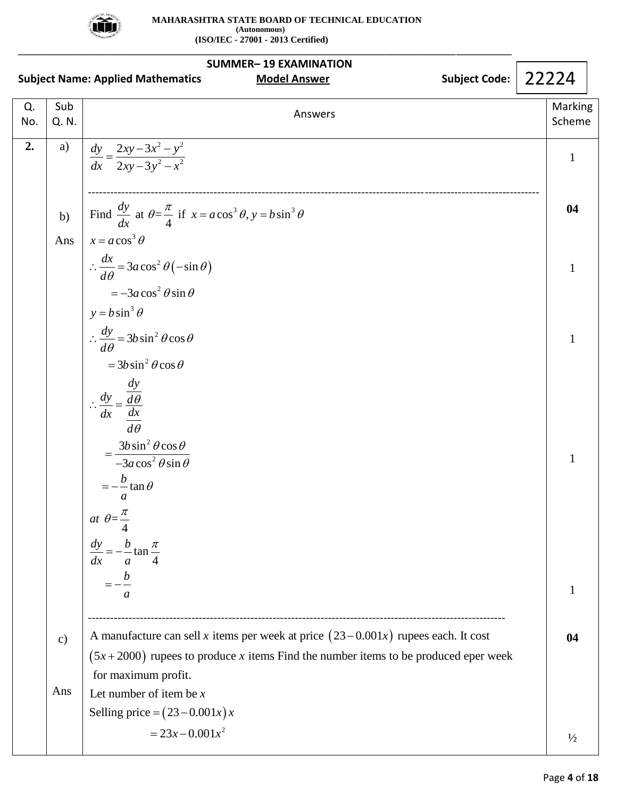

| <b>SUMMER-19 EXAMINATION</b> |               |                                                                                                                                                                             |                   |  |  |  |
|------------------------------|---------------|-----------------------------------------------------------------------------------------------------------------------------------------------------------------------------|-------------------|--|--|--|
|                              |               | <b>Subject Code:</b><br><b>Subject Name: Applied Mathematics</b><br><b>Model Answer</b>                                                                                     | 22224             |  |  |  |
| Q.<br>No.                    | Sub<br>Q. N.  | Answers                                                                                                                                                                     | Marking<br>Scheme |  |  |  |
| 2.                           | a)            | $\frac{dy}{dx} = \frac{2xy - 3x^2 - y^2}{2xy - 3y^2 - x^2}$                                                                                                                 | $\mathbf{1}$      |  |  |  |
|                              | b)            | Find $\frac{dy}{dx}$ at $\theta = \frac{\pi}{4}$ if $x = a \cos^3 \theta$ , $y = b \sin^3 \theta$                                                                           | 04                |  |  |  |
|                              | Ans           | $x = a \cos^3 \theta$                                                                                                                                                       |                   |  |  |  |
|                              |               | $\therefore \frac{dx}{d\theta} = 3a\cos^2\theta(-\sin\theta)$                                                                                                               | $\mathbf{1}$      |  |  |  |
|                              |               | $=-3a\cos^2\theta\sin\theta$<br>$y = b \sin^3 \theta$                                                                                                                       |                   |  |  |  |
|                              |               | $\therefore \frac{dy}{d\theta} = 3b\sin^2\theta\cos\theta$                                                                                                                  | 1                 |  |  |  |
|                              |               | $= 3b \sin^2 \theta \cos \theta$                                                                                                                                            |                   |  |  |  |
|                              |               | $\therefore \frac{dy}{dx} = \frac{\frac{dy}{d\theta}}{\frac{dx}{d\theta}}$                                                                                                  |                   |  |  |  |
|                              |               |                                                                                                                                                                             |                   |  |  |  |
|                              |               | $\overline{d\theta}$                                                                                                                                                        |                   |  |  |  |
|                              |               | $=\frac{3b\sin^2\theta\cos\theta}{-3a\cos^2\theta\sin\theta}$                                                                                                               | 1                 |  |  |  |
|                              |               | $=-\frac{b}{\tan \theta}$<br>a                                                                                                                                              |                   |  |  |  |
|                              |               | at $\theta = \frac{\pi}{4}$                                                                                                                                                 |                   |  |  |  |
|                              |               | $\frac{dy}{dx} = -\frac{b}{a}\tan\frac{\pi}{4}$                                                                                                                             |                   |  |  |  |
|                              |               |                                                                                                                                                                             |                   |  |  |  |
|                              |               | a                                                                                                                                                                           | 1                 |  |  |  |
|                              |               |                                                                                                                                                                             |                   |  |  |  |
|                              | $\mathbf{c})$ | A manufacture can sell x items per week at price $(23-0.001x)$ rupees each. It cost<br>$(5x+2000)$ rupees to produce x items Find the number items to be produced eper week | 04                |  |  |  |
|                              |               | for maximum profit.                                                                                                                                                         |                   |  |  |  |
|                              | Ans           | Let number of item be $x$                                                                                                                                                   |                   |  |  |  |
|                              |               | Selling price = $(23-0.001x)x$                                                                                                                                              |                   |  |  |  |
|                              |               | $= 23x - 0.001x^2$                                                                                                                                                          | $\frac{1}{2}$     |  |  |  |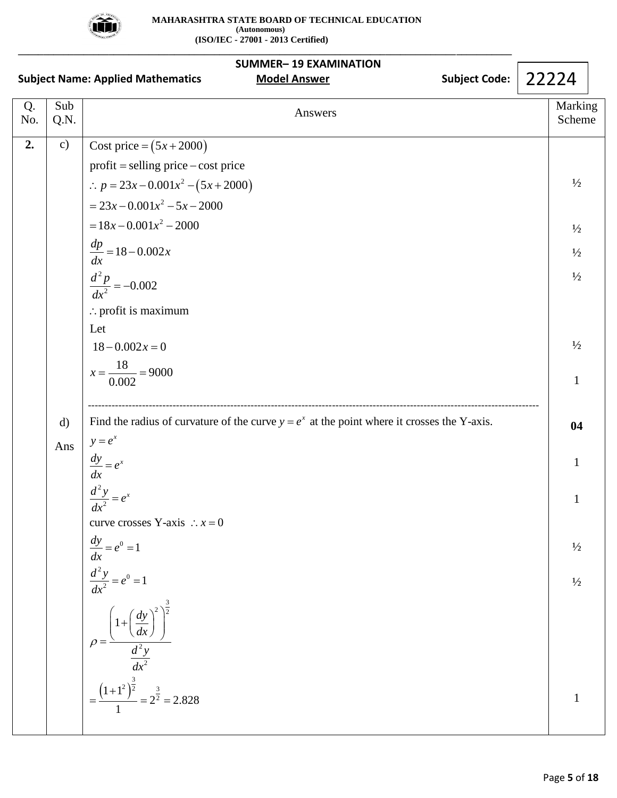

|           | <b>SUMMER-19 EXAMINATION</b><br>22224<br><b>Subject Code:</b><br><b>Subject Name: Applied Mathematics</b><br><b>Model Answer</b> |                                                                                                                                                                                                                                                                                                                                                      |                                                                                                   |  |
|-----------|----------------------------------------------------------------------------------------------------------------------------------|------------------------------------------------------------------------------------------------------------------------------------------------------------------------------------------------------------------------------------------------------------------------------------------------------------------------------------------------------|---------------------------------------------------------------------------------------------------|--|
| Q.<br>No. | Sub<br>Q.N.                                                                                                                      | Answers                                                                                                                                                                                                                                                                                                                                              | Marking<br>Scheme                                                                                 |  |
| 2.        | $\mathbf{c})$                                                                                                                    | Cost price = $(5x + 2000)$<br>$profit = selling price - cost price$<br>$\therefore p = 23x - 0.001x^2 - (5x + 2000)$<br>$= 23x - 0.001x^2 - 5x - 2000$<br>$= 18x - 0.001x^2 - 2000$<br>$\frac{dp}{dx} = 18 - 0.002x$<br>$\frac{d^2 p}{dx^2} = -0.002$<br>$\therefore$ profit is maximum<br>Let<br>$18 - 0.002x = 0$<br>$x = \frac{18}{0.002} = 9000$ | $\frac{1}{2}$<br>$\frac{1}{2}$<br>$\frac{1}{2}$<br>$\frac{1}{2}$<br>$\frac{1}{2}$<br>$\mathbf{1}$ |  |
|           | $\mathbf{d}$<br>Ans                                                                                                              | Find the radius of curvature of the curve $y = e^x$ at the point where it crosses the Y-axis.<br>$y = e^x$                                                                                                                                                                                                                                           | 04<br>1                                                                                           |  |
|           |                                                                                                                                  | $\frac{dy}{dx} = e^x$<br>$\frac{d^2y}{dx^2} = e^x$<br>curve crosses Y-axis $\therefore$ $x = 0$                                                                                                                                                                                                                                                      | $\mathbf{1}$                                                                                      |  |
|           |                                                                                                                                  | $\frac{dy}{dx} = e^0 = 1$                                                                                                                                                                                                                                                                                                                            | $\frac{1}{2}$                                                                                     |  |
|           |                                                                                                                                  | $rac{d^2 y}{dx^2} = e^0 = 1$<br>$\rho = \frac{\left(1 + \left(\frac{dy}{dx}\right)^2\right)^{\frac{3}{2}}}{\frac{d^2y}{dx^2}}$<br>= $\frac{\left(1 + 1^2\right)^{\frac{3}{2}}}{1} = 2^{\frac{3}{2}} =$                                                                                                                                               | $\frac{1}{2}$                                                                                     |  |
|           |                                                                                                                                  | 2.828                                                                                                                                                                                                                                                                                                                                                |                                                                                                   |  |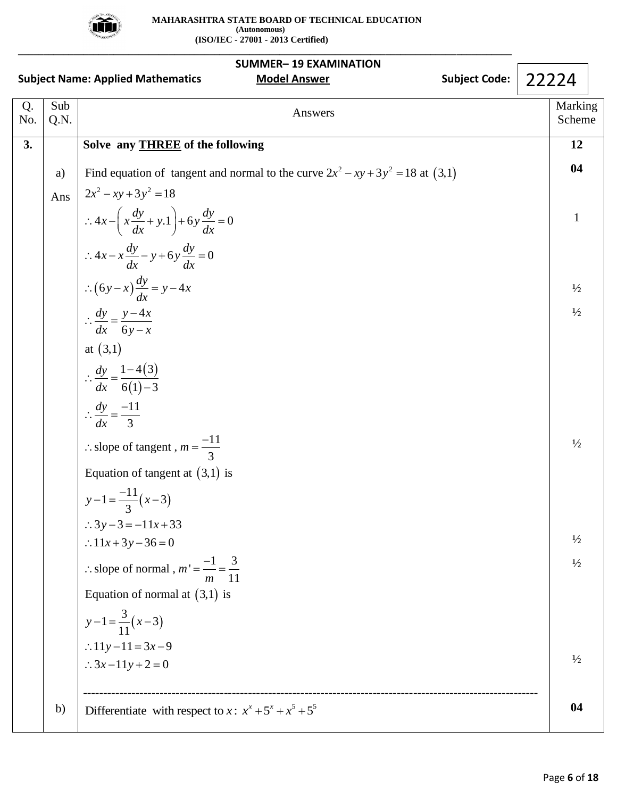

| <b>Subject Name: Applied Mathematics</b> | 22224       |                                                                                   |                   |
|------------------------------------------|-------------|-----------------------------------------------------------------------------------|-------------------|
| Q.<br>No.                                | Sub<br>Q.N. | Answers                                                                           | Marking<br>Scheme |
| 3.                                       |             | Solve any <b>THREE</b> of the following                                           | 12                |
|                                          | a)          | Find equation of tangent and normal to the curve $2x^2 - xy + 3y^2 = 18$ at (3,1) | 04                |
|                                          | Ans         | $2x^2 - xy + 3y^2 = 18$                                                           |                   |
|                                          |             | $\therefore 4x - \left(x\frac{dy}{dx} + y.1\right) + 6y\frac{dy}{dx} = 0$         | $\mathbf{1}$      |
|                                          |             | $\therefore 4x - x \frac{dy}{dx} - y + 6y \frac{dy}{dx} = 0$                      |                   |
|                                          |             | $\therefore (6y-x)\frac{dy}{dx} = y-4x$                                           | $\frac{1}{2}$     |
|                                          |             | $\therefore \frac{dy}{dx} = \frac{y - 4x}{6y - x}$                                | $\frac{1}{2}$     |
|                                          |             | at $(3,1)$                                                                        |                   |
|                                          |             | $\therefore \frac{dy}{dx} = \frac{1-4(3)}{6(1)-3}$                                |                   |
|                                          |             | $\therefore \frac{dy}{dx} = \frac{-11}{3}$                                        |                   |
|                                          |             | : slope of tangent, $m = \frac{-11}{2}$                                           | $\frac{1}{2}$     |
|                                          |             | Equation of tangent at $(3,1)$ is                                                 |                   |
|                                          |             | $y-1=\frac{-11}{3}(x-3)$                                                          |                   |
|                                          |             | $\therefore$ 3y - 3 = -11x + 33                                                   |                   |
|                                          |             | $\therefore 11x + 3y - 36 = 0$                                                    | $\frac{1}{2}$     |
|                                          |             | : slope of normal, $m' = \frac{-1}{m} = \frac{3}{11}$                             | $\frac{1}{2}$     |
|                                          |             | Equation of normal at $(3,1)$ is                                                  |                   |
|                                          |             | $y-1=\frac{3}{11}(x-3)$                                                           |                   |
|                                          |             | :.11y-11=3x-9                                                                     | $\frac{1}{2}$     |
|                                          |             | $\therefore 3x-11y+2=0$                                                           |                   |
|                                          | b)          | Differentiate with respect to x: $x^x + 5^x + x^5 + 5^5$                          | 04                |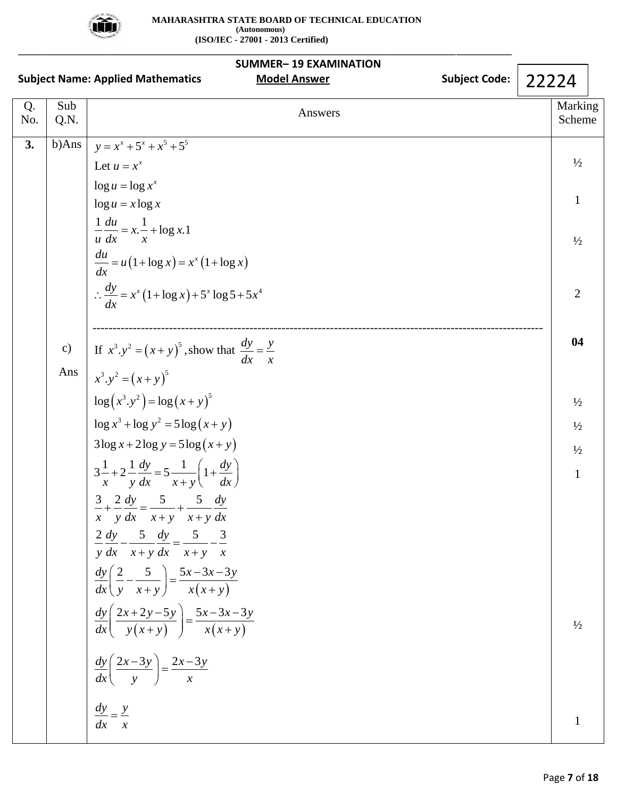

**\_\_\_\_\_\_\_\_\_\_\_\_\_\_\_\_\_\_\_\_\_\_\_\_\_\_\_\_\_\_\_\_\_\_\_\_\_\_\_\_\_\_\_\_\_\_\_\_\_\_\_\_\_\_\_\_\_\_\_\_\_\_\_\_\_\_\_\_\_\_\_\_\_\_\_\_\_\_\_\_\_\_\_\_\_\_\_\_\_\_\_\_\_\_\_\_\_\_**

| <b>SUMMER-19 EXAMINATION</b> |             |                                                                                                                |                      |       |                   |  |  |
|------------------------------|-------------|----------------------------------------------------------------------------------------------------------------|----------------------|-------|-------------------|--|--|
|                              |             | <b>Subject Name: Applied Mathematics</b><br><b>Model Answer</b>                                                | <b>Subject Code:</b> | 22224 |                   |  |  |
| Q.<br>No.                    | Sub<br>Q.N. | Answers                                                                                                        |                      |       | Marking<br>Scheme |  |  |
| 3.                           | b)Ans       | $y = x^x + 5^x + x^5 + 5^5$                                                                                    |                      |       |                   |  |  |
|                              |             | Let $u = x^x$                                                                                                  |                      |       | $\frac{1}{2}$     |  |  |
|                              |             | $\log u = \log x^x$                                                                                            |                      |       | $\mathbf{1}$      |  |  |
|                              |             | $\log u = x \log x$                                                                                            |                      |       |                   |  |  |
|                              |             | $\frac{1}{u}\frac{du}{dx} = x.\frac{1}{x} + \log x.1$                                                          |                      |       | $\frac{1}{2}$     |  |  |
|                              |             | $rac{du}{dx} = u(1 + \log x) = x^{x}(1 + \log x)$                                                              |                      |       |                   |  |  |
|                              |             | $\therefore \frac{dy}{dx} = x^x (1 + \log x) + 5^x \log 5 + 5x^4$                                              |                      |       | $\overline{2}$    |  |  |
|                              |             |                                                                                                                |                      |       | 04                |  |  |
|                              | c)          | If $x^3 \cdot y^2 = (x + y)^5$ , show that $\frac{dy}{dx} = \frac{y}{x}$                                       |                      |       |                   |  |  |
|                              | Ans         | $x^3 \cdot y^2 = (x + y)^5$                                                                                    |                      |       |                   |  |  |
|                              |             | $\log(x^3 \cdot y^2) = \log(x + y)^5$                                                                          |                      |       | $\frac{1}{2}$     |  |  |
|                              |             | $\log x^3 + \log y^2 = 5 \log (x + y)$                                                                         |                      |       | $\frac{1}{2}$     |  |  |
|                              |             | $3\log x + 2\log y = 5\log(x+y)$                                                                               |                      |       | $\frac{1}{2}$     |  |  |
|                              |             | $3\frac{1}{x} + 2\frac{1}{y}\frac{dy}{dx} = 5\frac{1}{x+y}\left(1 + \frac{dy}{dx}\right)$                      |                      |       | $\mathbf{1}$      |  |  |
|                              |             | $\frac{3}{2} + \frac{2}{2} \frac{dy}{dx} = \frac{5}{2} + \frac{5}{2} \frac{dy}{dx}$<br>$x$ y dx $x+y$ $x+y$ dx |                      |       |                   |  |  |
|                              |             | $\frac{2}{2} \frac{dy}{dx} - \frac{5}{2} \frac{dy}{dx} - \frac{5}{2} \frac{3}{2}$                              |                      |       |                   |  |  |
|                              |             | $y dx$ $x + y dx$ $x + y$ x                                                                                    |                      |       |                   |  |  |
|                              |             | $\frac{dy}{dx}\left(\frac{2}{y}-\frac{5}{x+y}\right)=\frac{5x-3x-3y}{x(x+y)}$                                  |                      |       |                   |  |  |
|                              |             | $\frac{dy}{dx}\left(\frac{2x+2y-5y}{y(x+y)}\right) = \frac{5x-3x-3y}{x(x+y)}$                                  |                      |       | $\frac{1}{2}$     |  |  |
|                              |             | $\frac{dy}{dx}\left(\frac{2x-3y}{y}\right) = \frac{2x-3y}{x}$                                                  |                      |       |                   |  |  |
|                              |             | $\frac{dy}{dx} = \frac{y}{x}$                                                                                  |                      |       | 1                 |  |  |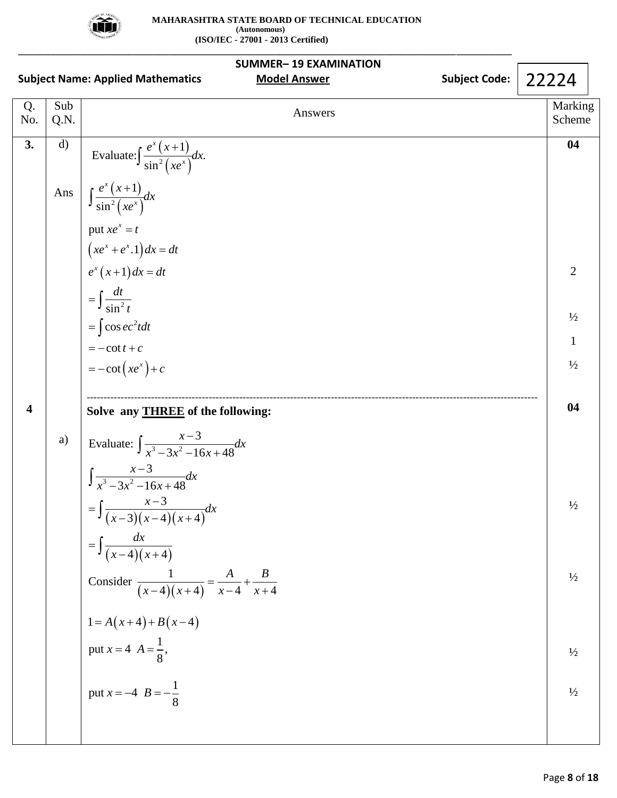

|                         |              | <b>SUMMER-19 EXAMINATION</b><br><b>Subject Code:</b><br><b>Model Answer</b><br><b>Subject Name: Applied Mathematics</b> | 22224             |
|-------------------------|--------------|-------------------------------------------------------------------------------------------------------------------------|-------------------|
| Q.<br>No.               | Sub<br>Q.N.  | Answers                                                                                                                 | Marking<br>Scheme |
| 3.                      | $\mathbf{d}$ | Evaluate: $\int \frac{e^x (x+1)}{\sin^2 (xe^x)} dx$ .                                                                   | 04                |
|                         | Ans          | $\int \frac{e^x (x+1)}{\sin^2 (xe^x)} dx$                                                                               |                   |
|                         |              | put $xe^x = t$<br>$(xe^x + e^x.1) dx = dt$<br>$e^x (x+1) dx = dt$                                                       |                   |
|                         |              |                                                                                                                         | 2                 |
|                         |              | $=\int \frac{dt}{\sin^2 t}$<br>$=\int \cos ec^2 t dt$                                                                   | $\frac{1}{2}$     |
|                         |              | $=-\cot t + c$                                                                                                          | $\mathbf{1}$      |
|                         |              | $= -\cot(xe^{x}) + c$                                                                                                   | $\frac{1}{2}$     |
| $\overline{\mathbf{4}}$ |              | Solve any <b>THREE</b> of the following:                                                                                | 04                |
|                         | a)           | Evaluate: $\int \frac{x-3}{x^3 - 3x^2 - 16x + 48} dx$                                                                   |                   |
|                         |              | $\int \frac{x-3}{x^3-3x^2-16x+48}dx$                                                                                    |                   |
|                         |              | $=\int \frac{x-3}{(x-3)(x-4)(x+4)}dx$                                                                                   | $\frac{1}{2}$     |
|                         |              | $=\int \frac{dx}{(x-4)(x+4)}$                                                                                           |                   |
|                         |              | Consider $\frac{1}{(x-4)(x+4)} = \frac{A}{x-4} + \frac{B}{x+4}$                                                         | $\frac{1}{2}$     |
|                         |              | $\begin{cases} 1 = A(x+4) + B(x-4) \\ \text{put } x = 4 \ \ A = \frac{1}{8}, \end{cases}$                               |                   |
|                         |              |                                                                                                                         | $\frac{1}{2}$     |
|                         |              | put $x = -4$ $B = -\frac{1}{8}$                                                                                         | $\frac{1}{2}$     |
|                         |              |                                                                                                                         |                   |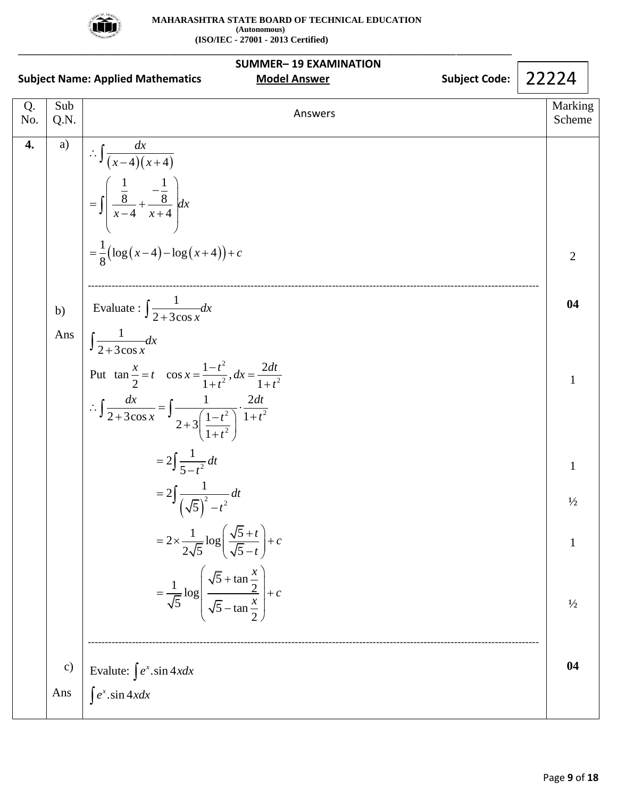

|           |               | <b>SUMMER-19 EXAMINATION</b><br><b>Subject Name: Applied Mathematics</b><br><b>Model Answer</b>                                                                                                                    | <b>Subject Code:</b> | 22224             |
|-----------|---------------|--------------------------------------------------------------------------------------------------------------------------------------------------------------------------------------------------------------------|----------------------|-------------------|
| Q.<br>No. | Sub<br>Q.N.   | Answers                                                                                                                                                                                                            |                      | Marking<br>Scheme |
| 4.        | a)            | $\therefore \int \frac{dx}{(x-4)(x+4)}$<br>$= \int \left( \frac{\frac{1}{8}}{x-4} + \frac{-\frac{1}{8}}{x+4} \right) dx$<br>$=\frac{1}{8}(\log(x-4)-\log(x+4))+c$                                                  |                      | $\overline{2}$    |
|           | b)            | Evaluate : $\int \frac{1}{2 + 3\cos x} dx$                                                                                                                                                                         |                      | 04                |
|           | Ans           | $\int \frac{1}{2 + 3\cos x} dx$                                                                                                                                                                                    |                      |                   |
|           |               | Put $\tan \frac{x}{2} = t$ $\cos x = \frac{1-t^2}{1+t^2}, dx = \frac{2dt}{1+t^2}$<br>$\therefore \int \frac{dx}{2 + 3\cos x} = \int \frac{1}{2 + 3\left(\frac{1 - t^2}{1 + t^2}\right)} \cdot \frac{2dt}{1 + t^2}$ |                      | 1                 |
|           |               | $=2\int \frac{1}{5-t^2} dt$                                                                                                                                                                                        |                      | 1                 |
|           |               | $=2\int \frac{1}{(\sqrt{5})^2-t^2}dt$                                                                                                                                                                              |                      | $\frac{1}{2}$     |
|           |               | $=2\times\frac{1}{2\sqrt{5}}\log\left(\frac{\sqrt{5}+t}{\sqrt{5}-t}\right)+c$                                                                                                                                      |                      | $\mathbf{1}$      |
|           |               | $=\frac{1}{\sqrt{5}}\log\left(\frac{\sqrt{5}+\tan\frac{x}{2}}{\sqrt{5}-\tan\frac{x}{2}}\right)+c$                                                                                                                  |                      | $\frac{1}{2}$     |
|           | $\mathbf{c})$ | Evalute: $\int e^x \cdot \sin 4x dx$                                                                                                                                                                               |                      | 04                |
|           | Ans           | $\int e^x$ .sin 4xdx                                                                                                                                                                                               |                      |                   |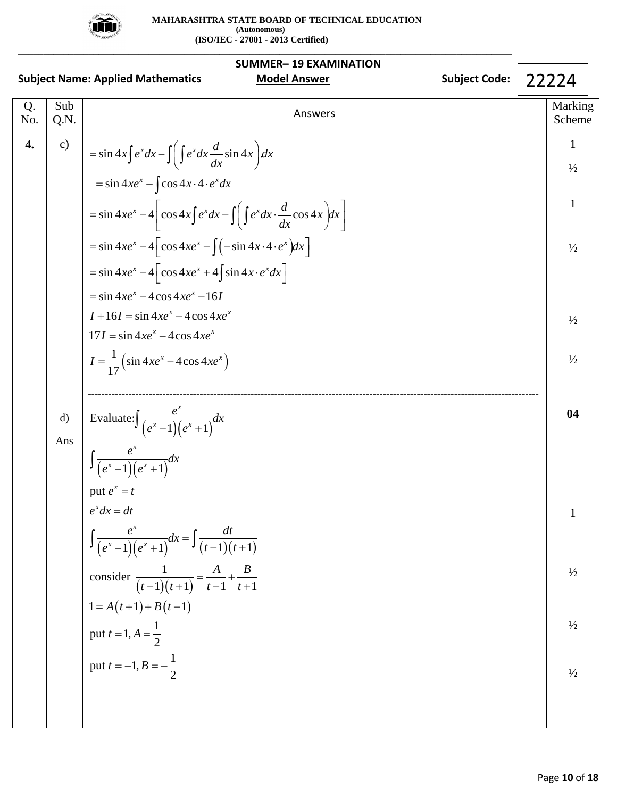

**\_\_\_\_\_\_\_\_\_\_\_\_\_\_\_\_\_\_\_\_\_\_\_\_\_\_\_\_\_\_\_\_\_\_\_\_\_\_\_\_\_\_\_\_\_\_\_\_\_\_\_\_\_\_\_\_\_\_\_\_\_\_\_\_\_\_\_\_\_\_\_\_\_\_\_\_\_\_\_\_\_\_\_\_\_\_\_\_\_\_\_\_\_\_\_\_\_\_**

| <b>SUMMER-19 EXAMINATION</b> |               |                                                                                         |                               |  |  |  |
|------------------------------|---------------|-----------------------------------------------------------------------------------------|-------------------------------|--|--|--|
|                              |               | <b>Model Answer</b><br><b>Subject Code:</b><br><b>Subject Name: Applied Mathematics</b> | 22224                         |  |  |  |
| Q.<br>No.                    | Sub<br>Q.N.   | Answers                                                                                 | Marking<br>Scheme             |  |  |  |
| 4.                           | $\mathbf{c})$ | $=\sin 4x \int e^x dx - \int \int e^x dx \frac{d}{dx} \sin 4x dx$                       | $\mathbf{1}$<br>$\frac{1}{2}$ |  |  |  |
|                              |               | $=\sin 4xe^{x} - \cos 4x \cdot 4 \cdot e^{x} dx$                                        |                               |  |  |  |
|                              |               | $=\sin 4xe^{x}-4\cos 4x\int e^{x}dx-\int \int e^{x}dx\cdot \frac{d}{dx}\cos 4x dx$      | $\mathbf{1}$                  |  |  |  |
|                              |               | $=\sin 4xe^{x}-4\cos 4xe^{x}-\int (-\sin 4x\cdot 4\cdot e^{x})dx$                       | $\frac{1}{2}$                 |  |  |  |
|                              |               | $=\sin 4xe^{x}-4\cos 4xe^{x}+4\sin 4x \cdot e^{x}dx$                                    |                               |  |  |  |
|                              |               | $=$ sin 4xe <sup>x</sup> – 4 cos 4xe <sup>x</sup> – 16I                                 |                               |  |  |  |
|                              |               | $I + 16I = \sin 4xe^{x} - 4\cos 4xe^{x}$<br>$17I = \sin 4xe^{x} - 4\cos 4xe^{x}$        | $\frac{1}{2}$                 |  |  |  |
|                              |               | $I = \frac{1}{17} (\sin 4x e^x - 4\cos 4x e^x)$                                         | $\frac{1}{2}$                 |  |  |  |
|                              |               |                                                                                         |                               |  |  |  |
|                              | $\mathbf{d}$  | Evaluate: $\int \frac{e^x}{(e^x-1)(e^x+1)}dx$                                           | 04                            |  |  |  |
|                              | Ans           | $\int \frac{e^x}{(e^x - 1)(e^x + 1)} dx$<br>put $e^x = t$                               |                               |  |  |  |
|                              |               |                                                                                         |                               |  |  |  |
|                              |               | $e^x dx = dt$                                                                           |                               |  |  |  |
|                              |               | $\int \frac{e^x}{(e^x-1)(e^x+1)}dx = \int \frac{dt}{(t-1)(t+1)}$                        |                               |  |  |  |
|                              |               | consider $\frac{1}{(t-1)(t+1)} = \frac{A}{t-1} + \frac{B}{t+1}$                         | $\frac{1}{2}$                 |  |  |  |
|                              |               | $1 = A(t+1) + B(t-1)$                                                                   |                               |  |  |  |
|                              |               | put $t = 1, A = \frac{1}{2}$                                                            | $\frac{1}{2}$                 |  |  |  |
|                              |               | put $t = -1, B = -\frac{1}{2}$                                                          | $\frac{1}{2}$                 |  |  |  |
|                              |               |                                                                                         |                               |  |  |  |
|                              |               |                                                                                         |                               |  |  |  |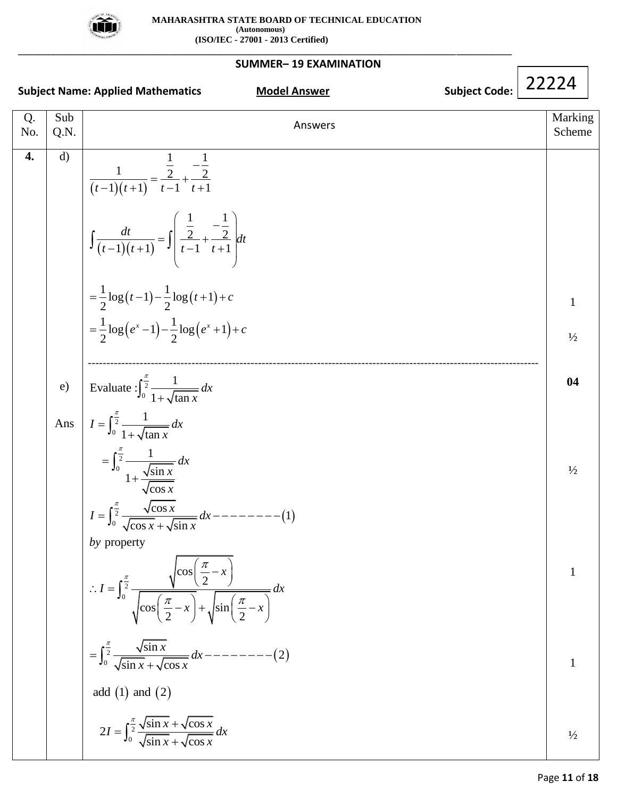

**\_\_\_\_\_\_\_\_\_\_\_\_\_\_\_\_\_\_\_\_\_\_\_\_\_\_\_\_\_\_\_\_\_\_\_\_\_\_\_\_\_\_\_\_\_\_\_\_\_\_\_\_\_\_\_\_\_\_\_\_\_\_\_\_\_\_\_\_\_\_\_\_\_\_\_\_\_\_\_\_\_\_\_\_\_\_\_\_\_\_\_\_\_\_\_\_\_\_**

# **SUMMER– 19 EXAMINATION**

| <b>Subject Name: Applied Mathematics</b> |              | <b>Subject Code:</b><br><b>Model Answer</b>                                                                                                                                              | 22224             |
|------------------------------------------|--------------|------------------------------------------------------------------------------------------------------------------------------------------------------------------------------------------|-------------------|
| Q.<br>No.                                | Sub<br>Q.N.  | Answers                                                                                                                                                                                  | Marking<br>Scheme |
| 4.                                       | $\mathbf{d}$ | $\frac{1}{(t-1)(t+1)} = \frac{\frac{1}{2}}{t-1} + \frac{\frac{1}{2}}{t+1}$<br>$\int \frac{dt}{(t-1)(t+1)} = \int \left(\frac{\frac{1}{2}}{t-1} + \frac{\frac{1}{2}}{t+1}\right) dt$      |                   |
|                                          |              | $=\frac{1}{2}\log(t-1)-\frac{1}{2}\log(t+1)+c$                                                                                                                                           | $\mathbf{1}$      |
|                                          |              | $=\frac{1}{2}\log(e^x-1)-\frac{1}{2}\log(e^x+1)+c$                                                                                                                                       | $\frac{1}{2}$     |
|                                          | e)           | Evaluate : $\int_0^{\frac{\pi}{2}} \frac{1}{1 + \sqrt{\tan x}} dx$                                                                                                                       | 04                |
|                                          | Ans          | $I = \int_0^{\frac{\pi}{2}} \frac{1}{1 + \sqrt{\tan x}} dx$                                                                                                                              |                   |
|                                          |              | $=\int_0^{\frac{\pi}{2}}\frac{1}{1+\frac{\sqrt{\sin x}}{\sqrt{\cos x}}}dx$                                                                                                               | $\frac{1}{2}$     |
|                                          |              | $I = \int_0^{\frac{\pi}{2}} \frac{\sqrt{\cos x}}{\sqrt{\cos x} + \sqrt{\sin x}} dx$ ---------(1)                                                                                         |                   |
|                                          |              | by property<br>∴ $I = \int_0^{\frac{\pi}{2}} \frac{\sqrt{\cos\left(\frac{\pi}{2} - x\right)}}{\sqrt{\cos\left(\frac{\pi}{2} - x\right)} + \sqrt{\sin\left(\frac{\pi}{2} - x\right)}} dx$ | 1                 |
|                                          |              | $=\int_0^{\frac{\pi}{2}} \frac{\sqrt{\sin x}}{\sqrt{\sin x} + \sqrt{\cos x}} dx --- \infty$                                                                                              | 1                 |
|                                          |              | add $(1)$ and $(2)$                                                                                                                                                                      |                   |
|                                          |              | $2I = \int_0^{\frac{\pi}{2}} \frac{\sqrt{\sin x} + \sqrt{\cos x}}{\sqrt{\sin x} + \sqrt{\cos x}} dx$                                                                                     | $\frac{1}{2}$     |

 $\mathsf{I}$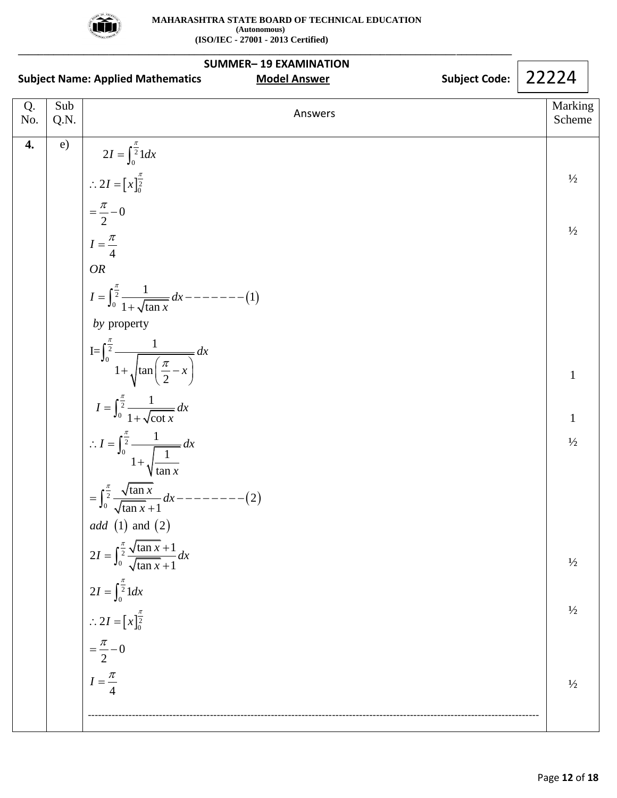

|           |             | <b>SUMMER-19 EXAMINATION</b><br><b>Subject Code:</b><br><b>Subject Name: Applied Mathematics</b><br><b>Model Answer</b>                                                                                                                                                                                                                                                                                                                                                                                                                                                                                                                                                                                             | 22224                                                                                                             |
|-----------|-------------|---------------------------------------------------------------------------------------------------------------------------------------------------------------------------------------------------------------------------------------------------------------------------------------------------------------------------------------------------------------------------------------------------------------------------------------------------------------------------------------------------------------------------------------------------------------------------------------------------------------------------------------------------------------------------------------------------------------------|-------------------------------------------------------------------------------------------------------------------|
| Q.<br>No. | Sub<br>Q.N. | Answers                                                                                                                                                                                                                                                                                                                                                                                                                                                                                                                                                                                                                                                                                                             | Marking<br>Scheme                                                                                                 |
| 4.        | e)          | $2I = \int_0^{\frac{\pi}{2}} 1 dx$<br>$\therefore 2I = \left[x\right]_0^{\frac{\pi}{2}}$<br>$= \frac{\pi}{2} - 0$<br>$I=\frac{\pi}{4}$<br><b>OR</b><br>by property<br>$I = \int_0^{\frac{\pi}{2}} \frac{1}{1 + \sqrt{\tan(\frac{\pi}{2} - x)}} dx$<br>$I = \int_0^{\frac{\pi}{2}} \frac{1}{1 + \sqrt{\cot x}} dx$<br>$\therefore I = \int_0^{\frac{\pi}{2}} \frac{1}{1 + \sqrt{\frac{1}{\tan x}}} dx$<br>= $\int_0^{\frac{\pi}{2}} \frac{\sqrt{\tan x}}{\sqrt{\tan x} + 1} dx$ - -<br>$---(2)$<br>add (1) and (2)<br>$2I = \int_0^{\frac{\pi}{2}} \frac{\sqrt{\tan x} + 1}{\sqrt{\tan x} + 1} dx$<br>$2I = \int_0^{\frac{\pi}{2}} 1 dx$<br>$\therefore 2I = \left[x\right]_0^{\frac{\pi}{2}}$<br>$=\frac{\pi}{2}-0$ | $\frac{1}{2}$<br>$\frac{1}{2}$<br>$\mathbf{1}$<br>$\mathbf{1}$<br>$\frac{1}{2}$<br>$\frac{1}{2}$<br>$\frac{1}{2}$ |
|           |             | $I=\frac{\pi}{4}$                                                                                                                                                                                                                                                                                                                                                                                                                                                                                                                                                                                                                                                                                                   | $\frac{1}{2}$                                                                                                     |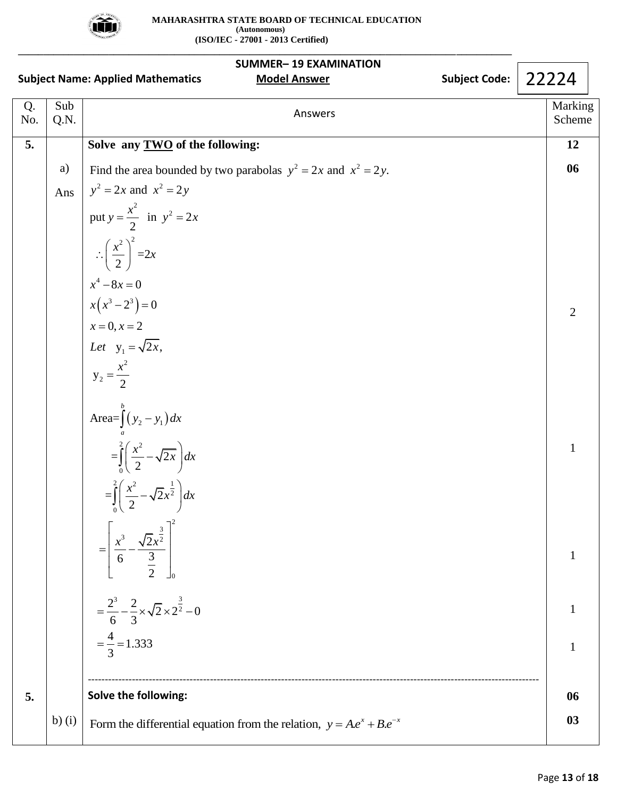

|           |             | <b>SUMMER-19 EXAMINATION</b><br><b>Subject Code:</b><br><b>Subject Name: Applied Mathematics</b><br><b>Model Answer</b> | 22224             |
|-----------|-------------|-------------------------------------------------------------------------------------------------------------------------|-------------------|
| Q.<br>No. | Sub<br>Q.N. | Answers                                                                                                                 | Marking<br>Scheme |
| 5.        |             | Solve any <b>TWO</b> of the following:                                                                                  | 12                |
|           | a)          | Find the area bounded by two parabolas $y^2 = 2x$ and $x^2 = 2y$ .                                                      | 06                |
|           | Ans         | $y^2 = 2x$ and $x^2 = 2y$                                                                                               |                   |
|           |             | put $y = \frac{x^2}{2}$ in $y^2 = 2x$                                                                                   |                   |
|           |             | $\therefore \left(\frac{x^2}{2}\right)^2 = 2x$                                                                          |                   |
|           |             | $x^4 - 8x = 0$                                                                                                          |                   |
|           |             | $x(x^3-2^3)=0$                                                                                                          | 2                 |
|           |             | $x = 0, x = 2$<br>Let $y_1 = \sqrt{2x}$ ,                                                                               |                   |
|           |             |                                                                                                                         |                   |
|           |             | $y_2 = \frac{x^2}{2}$                                                                                                   |                   |
|           |             |                                                                                                                         |                   |
|           |             | Area= $\int_{a}^{b} (y_2 - y_1) dx$<br>= $\int_{0}^{2} \left( \frac{x^2}{2} - \sqrt{2x} \right) dx$                     | $\mathbf{1}$      |
|           |             | $=\int_{0}^{2} \left(\frac{x^{2}}{2} - \sqrt{2x^{2}}\right) dx$                                                         |                   |
|           |             | $\left[\frac{x^3}{6} - \frac{\sqrt{2}x^{\frac{3}{2}}}{\frac{3}{2}}\right]$<br>$\begin{array}{c} \hline \end{array}$     |                   |
|           |             | $=\frac{2^3}{6}-\frac{2}{3}\times\sqrt{2}\times2^{\frac{3}{2}}-0$                                                       |                   |
|           |             | $=\frac{4}{3}=1.333$                                                                                                    | 1                 |
| 5.        |             | Solve the following:                                                                                                    | 06                |
|           | b) $(i)$    | Form the differential equation from the relation, $y = Ae^{x} + Be^{-x}$                                                | 03                |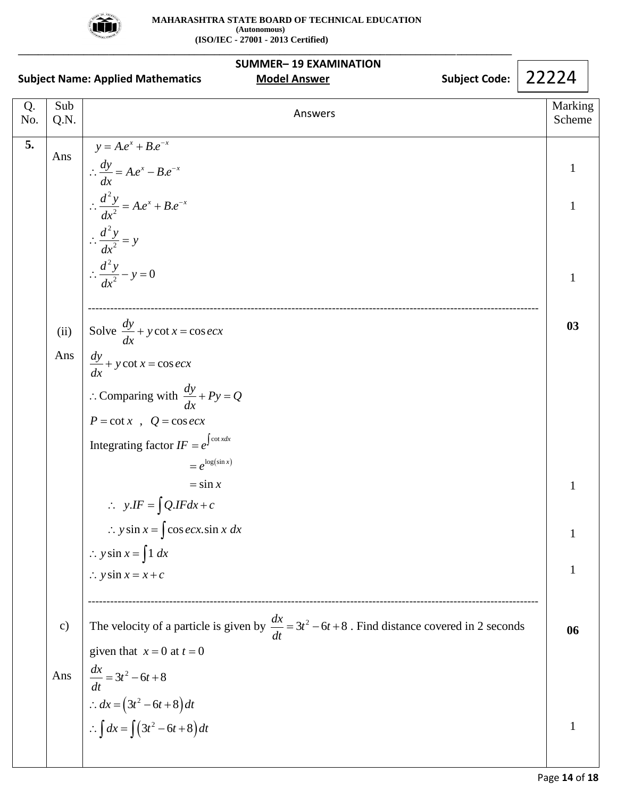

|           | <b>SUMMER-19 EXAMINATION</b><br>22224<br><b>Subject Code:</b><br><b>Subject Name: Applied Mathematics</b><br><b>Model Answer</b><br>Sub<br>Answers<br>Q.N.<br>$y = A.e^{x} + B.e^{-x}$<br>Ans<br>$\therefore \frac{dy}{dx} = A.e^{x} - B.e^{-x}$<br>1<br>$\therefore \frac{d^2y}{dx^2} = A.e^x + B.e^{-x}$<br>1<br>$\therefore \frac{d^2 y}{dx^2} = y$<br>$\therefore \frac{d^2y}{dx^2} - y = 0$<br>1<br>Solve $\frac{dy}{dx} + y \cot x = \cos e dx$<br>03<br>(ii) |                                                                                                                                              |  |                   |
|-----------|---------------------------------------------------------------------------------------------------------------------------------------------------------------------------------------------------------------------------------------------------------------------------------------------------------------------------------------------------------------------------------------------------------------------------------------------------------------------|----------------------------------------------------------------------------------------------------------------------------------------------|--|-------------------|
| Q.<br>No. |                                                                                                                                                                                                                                                                                                                                                                                                                                                                     |                                                                                                                                              |  | Marking<br>Scheme |
| 5.        |                                                                                                                                                                                                                                                                                                                                                                                                                                                                     |                                                                                                                                              |  |                   |
|           |                                                                                                                                                                                                                                                                                                                                                                                                                                                                     |                                                                                                                                              |  |                   |
|           |                                                                                                                                                                                                                                                                                                                                                                                                                                                                     |                                                                                                                                              |  |                   |
|           |                                                                                                                                                                                                                                                                                                                                                                                                                                                                     |                                                                                                                                              |  |                   |
|           | Ans                                                                                                                                                                                                                                                                                                                                                                                                                                                                 | $\frac{dy}{dx} + y \cot x = \cos e c x$                                                                                                      |  |                   |
|           |                                                                                                                                                                                                                                                                                                                                                                                                                                                                     | : Comparing with $\frac{dy}{dx} + Py = Q$<br>$P = \cot x$ , $Q = \cos ecx$                                                                   |  |                   |
|           |                                                                                                                                                                                                                                                                                                                                                                                                                                                                     | Integrating factor $IF = e^{\int \cot x dx}$                                                                                                 |  |                   |
|           |                                                                                                                                                                                                                                                                                                                                                                                                                                                                     | $= e^{\log(\sin x)}$<br>$=$ sin x                                                                                                            |  |                   |
|           |                                                                                                                                                                                                                                                                                                                                                                                                                                                                     | $\therefore y.IF = \int Q.IF dx + c$                                                                                                         |  |                   |
|           |                                                                                                                                                                                                                                                                                                                                                                                                                                                                     | $\therefore$ y sin $x = \int \cos e c x \cdot \sin x \, dx$                                                                                  |  |                   |
|           |                                                                                                                                                                                                                                                                                                                                                                                                                                                                     | $\therefore$ y sin $x = \int 1 dx$                                                                                                           |  |                   |
|           |                                                                                                                                                                                                                                                                                                                                                                                                                                                                     | $\therefore$ y sin $x = x + c$                                                                                                               |  | 1                 |
|           | $\mathbf{c})$                                                                                                                                                                                                                                                                                                                                                                                                                                                       | The velocity of a particle is given by $\frac{dx}{dt} = 3t^2 - 6t + 8$ . Find distance covered in 2 seconds<br>given that $x = 0$ at $t = 0$ |  | 06                |
|           | Ans                                                                                                                                                                                                                                                                                                                                                                                                                                                                 |                                                                                                                                              |  |                   |
|           |                                                                                                                                                                                                                                                                                                                                                                                                                                                                     | $\frac{dx}{dt} = 3t^2 - 6t + 8$<br>∴ $dx = (3t^2 - 6t + 8)dt$<br>∴ $\int dx = \int (3t^2 - 6t + 8)dt$                                        |  |                   |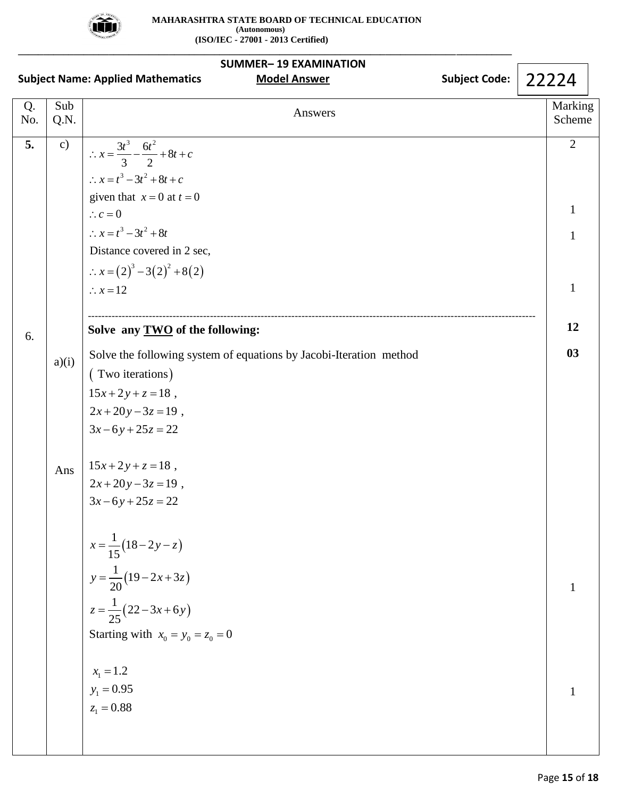

**\_\_\_\_\_\_\_\_\_\_\_\_\_\_\_\_\_\_\_\_\_\_\_\_\_\_\_\_\_\_\_\_\_\_\_\_\_\_\_\_\_\_\_\_\_\_\_\_\_\_\_\_\_\_\_\_\_\_\_\_\_\_\_\_\_\_\_\_\_\_\_\_\_\_\_\_\_\_\_\_\_\_\_\_\_\_\_\_\_\_\_\_\_\_\_\_\_\_**

| <b>SUMMER-19 EXAMINATION</b> |                                                                                                  |                                                                                                                                                                                                                                                                                             |  |                                          |  |
|------------------------------|--------------------------------------------------------------------------------------------------|---------------------------------------------------------------------------------------------------------------------------------------------------------------------------------------------------------------------------------------------------------------------------------------------|--|------------------------------------------|--|
|                              | <b>Subject Code:</b><br><b>Subject Name: Applied Mathematics</b><br><b>Model Answer</b><br>22224 |                                                                                                                                                                                                                                                                                             |  |                                          |  |
| Q.<br>No.                    | Sub<br>Q.N.                                                                                      | Answers                                                                                                                                                                                                                                                                                     |  | Marking<br>Scheme                        |  |
| 5.                           | c)                                                                                               | $\therefore x = \frac{3t^3}{3} - \frac{6t^2}{2} + 8t + c$<br>$\therefore x = t^3 - 3t^2 + 8t + c$<br>given that $x = 0$ at $t = 0$<br>$\therefore c = 0$<br>$\therefore x = t^3 - 3t^2 + 8t$<br>Distance covered in 2 sec,<br>$\therefore x = (2)^3 - 3(2)^2 + 8(2)$<br>$\therefore x = 12$ |  | $\overline{2}$<br>1<br>1<br>$\mathbf{1}$ |  |
| 6.                           |                                                                                                  | Solve any <b>TWO</b> of the following:                                                                                                                                                                                                                                                      |  | 12                                       |  |
|                              | a)(i)                                                                                            | Solve the following system of equations by Jacobi-Iteration method<br>(Two iterations)<br>$15x+2y+z=18$ ,<br>$2x+20y-3z=19$ ,<br>$3x-6y+25z=22$                                                                                                                                             |  | 03                                       |  |
|                              | Ans                                                                                              | $15x+2y+z=18$ ,<br>$2x+20y-3z=19$ ,<br>$3x-6y+25z=22$<br>$x = \frac{1}{15}(18-2y-z)$                                                                                                                                                                                                        |  |                                          |  |
|                              |                                                                                                  | $y = \frac{1}{20}(19-2x+3z)$<br>$z = \frac{1}{25}(22-3x+6y)$<br>Starting with $x_0 = y_0 = z_0 = 0$                                                                                                                                                                                         |  | 1                                        |  |
|                              |                                                                                                  | $x_1 = 1.2$<br>$y_1 = 0.95$<br>$z_1 = 0.88$                                                                                                                                                                                                                                                 |  |                                          |  |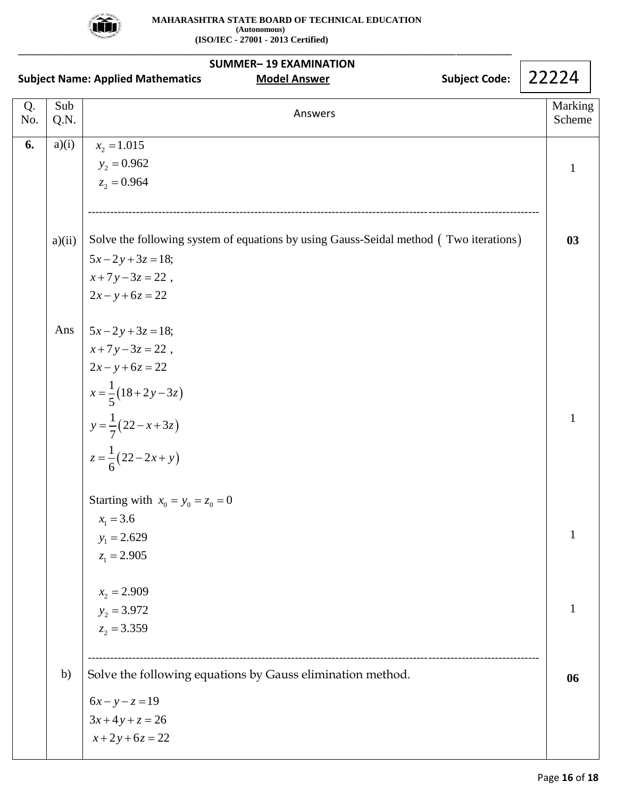

|           |             | <b>SUMMER-19 EXAMINATION</b><br><b>Subject Code:</b><br><b>Subject Name: Applied Mathematics</b><br><b>Model Answer</b> | 22224             |
|-----------|-------------|-------------------------------------------------------------------------------------------------------------------------|-------------------|
| Q.<br>No. | Sub<br>Q.N. | Answers                                                                                                                 | Marking<br>Scheme |
| 6.        | a)(i)       | $x_2 = 1.015$                                                                                                           |                   |
|           |             | $y_2 = 0.962$<br>$z_2 = 0.964$                                                                                          | 1                 |
|           |             |                                                                                                                         |                   |
|           | a)(ii)      | Solve the following system of equations by using Gauss-Seidal method (Two iterations)                                   | 03                |
|           |             | $5x-2y+3z=18;$                                                                                                          |                   |
|           |             | $x+7y-3z=22$ ,                                                                                                          |                   |
|           |             | $2x - y + 6z = 22$                                                                                                      |                   |
|           | Ans         | $5x-2y+3z=18;$                                                                                                          |                   |
|           |             | $x+7y-3z=22$ ,                                                                                                          |                   |
|           |             | $2x - y + 6z = 22$                                                                                                      |                   |
|           |             |                                                                                                                         |                   |
|           |             |                                                                                                                         | 1                 |
|           |             | x = $\frac{1}{5}$ (18+2y-3z)<br>y = $\frac{1}{7}$ (22-x+3z)<br>z = $\frac{1}{6}$ (22-2x+y)                              |                   |
|           |             | Starting with $x_0 = y_0 = z_0 = 0$                                                                                     |                   |
|           |             | $x_1 = 3.6$                                                                                                             |                   |
|           |             | $y_1 = 2.629$                                                                                                           | 1                 |
|           |             | $z_1 = 2.905$                                                                                                           |                   |
|           |             | $x_2 = 2.909$                                                                                                           |                   |
|           |             | $y_2 = 3.972$                                                                                                           |                   |
|           |             | $z_2 = 3.359$                                                                                                           |                   |
|           | b)          | Solve the following equations by Gauss elimination method.                                                              | 06                |
|           |             | $6x - y - z = 19$                                                                                                       |                   |
|           |             | $3x+4y+z=26$                                                                                                            |                   |
|           |             | $x+2y+6z=22$                                                                                                            |                   |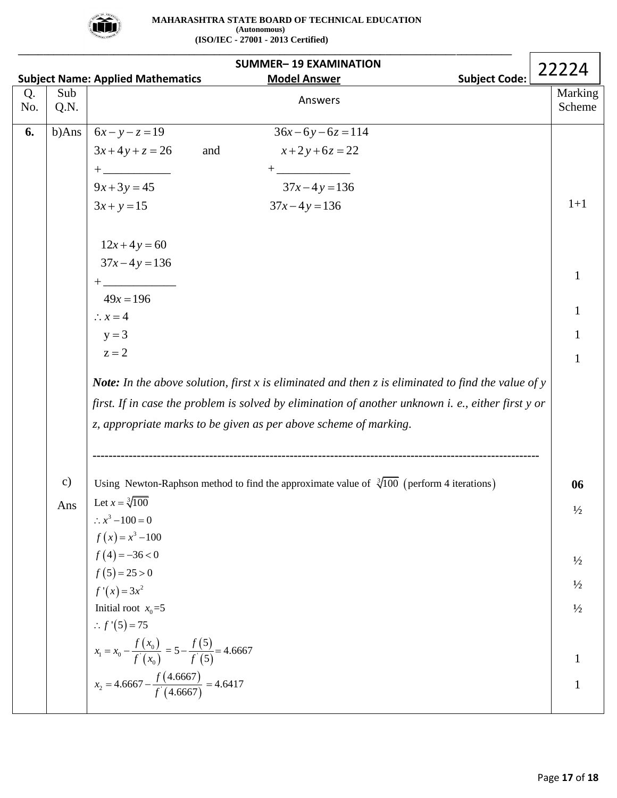

|           |             |                                                                                                                                                                                                                                                                                                                                                                                                                                                                                                                                                  |     | <b>SUMMER-19 EXAMINATION</b>                                                                        |                      | 22224             |  |
|-----------|-------------|--------------------------------------------------------------------------------------------------------------------------------------------------------------------------------------------------------------------------------------------------------------------------------------------------------------------------------------------------------------------------------------------------------------------------------------------------------------------------------------------------------------------------------------------------|-----|-----------------------------------------------------------------------------------------------------|----------------------|-------------------|--|
|           |             | <b>Subject Name: Applied Mathematics</b>                                                                                                                                                                                                                                                                                                                                                                                                                                                                                                         |     | <b>Model Answer</b>                                                                                 | <b>Subject Code:</b> |                   |  |
| Q.<br>No. | Sub<br>Q.N. |                                                                                                                                                                                                                                                                                                                                                                                                                                                                                                                                                  |     | Answers                                                                                             |                      | Marking<br>Scheme |  |
| 6.        | b)Ans       | $6x - y - z = 19$                                                                                                                                                                                                                                                                                                                                                                                                                                                                                                                                |     | $36x-6y-6z=114$                                                                                     |                      |                   |  |
|           |             | $3x+4y+z=26$                                                                                                                                                                                                                                                                                                                                                                                                                                                                                                                                     | and | $x+2y+6z=22$                                                                                        |                      |                   |  |
|           |             | $+$ $  -$                                                                                                                                                                                                                                                                                                                                                                                                                                                                                                                                        |     | $+$ $   -$                                                                                          |                      |                   |  |
|           |             | $9x+3y=45$                                                                                                                                                                                                                                                                                                                                                                                                                                                                                                                                       |     | $37x-4y=136$                                                                                        |                      |                   |  |
|           |             | $3x + y = 15$                                                                                                                                                                                                                                                                                                                                                                                                                                                                                                                                    |     | $37x - 4y = 136$                                                                                    |                      | $1+1$             |  |
|           |             | $12x+4y=60$                                                                                                                                                                                                                                                                                                                                                                                                                                                                                                                                      |     |                                                                                                     |                      |                   |  |
|           |             | $37x-4y=136$                                                                                                                                                                                                                                                                                                                                                                                                                                                                                                                                     |     |                                                                                                     |                      |                   |  |
|           |             | $+ \underbrace{\phantom{aaaaaa}}_{\text{200}} + \underbrace{\phantom{aaaaaa}}_{\text{211}} + \underbrace{\phantom{aaaaaa}}_{\text{221}} + \underbrace{\phantom{aaaaaa}}_{\text{231}} + \underbrace{\phantom{aaaaaa}}_{\text{241}} + \underbrace{\phantom{aaaaaa}}_{\text{251}} + \underbrace{\phantom{aaaaaa}}_{\text{261}} + \underbrace{\phantom{aaaaaa}}_{\text{271}} + \underbrace{\phantom{aaaaaa}}_{\text{281}} + \underbrace{\phantom{aaaaaa}}_{\text{291}} + \underbrace{\phantom{aaaaaa}}_{\text{201}} + \underbrace{\phantom{aaaaaa}}$ |     |                                                                                                     |                      |                   |  |
|           |             | $49x = 196$                                                                                                                                                                                                                                                                                                                                                                                                                                                                                                                                      |     |                                                                                                     |                      |                   |  |
|           |             | $\therefore x = 4$                                                                                                                                                                                                                                                                                                                                                                                                                                                                                                                               |     |                                                                                                     |                      |                   |  |
|           |             | $y = 3$                                                                                                                                                                                                                                                                                                                                                                                                                                                                                                                                          |     |                                                                                                     |                      |                   |  |
|           |             | $z = 2$                                                                                                                                                                                                                                                                                                                                                                                                                                                                                                                                          |     |                                                                                                     |                      | 1                 |  |
|           |             | <b>Note:</b> In the above solution, first $x$ is eliminated and then $z$ is eliminated to find the value of $y$                                                                                                                                                                                                                                                                                                                                                                                                                                  |     |                                                                                                     |                      |                   |  |
|           |             | first. If in case the problem is solved by elimination of another unknown i. e., either first y or                                                                                                                                                                                                                                                                                                                                                                                                                                               |     |                                                                                                     |                      |                   |  |
|           |             | z, appropriate marks to be given as per above scheme of marking.                                                                                                                                                                                                                                                                                                                                                                                                                                                                                 |     |                                                                                                     |                      |                   |  |
|           |             |                                                                                                                                                                                                                                                                                                                                                                                                                                                                                                                                                  |     | ------------------------                                                                            |                      |                   |  |
|           | c)          |                                                                                                                                                                                                                                                                                                                                                                                                                                                                                                                                                  |     | Using Newton-Raphson method to find the approximate value of $\sqrt[3]{100}$ (perform 4 iterations) |                      | 06                |  |
|           | Ans         | Let $x = \sqrt[3]{100}$                                                                                                                                                                                                                                                                                                                                                                                                                                                                                                                          |     |                                                                                                     |                      | $\frac{1}{2}$     |  |
|           |             | $\therefore x^3 - 100 = 0$                                                                                                                                                                                                                                                                                                                                                                                                                                                                                                                       |     |                                                                                                     |                      |                   |  |
|           |             | $f(x) = x^3 - 100$                                                                                                                                                                                                                                                                                                                                                                                                                                                                                                                               |     |                                                                                                     |                      |                   |  |
|           |             | $f(4) = -36 < 0$                                                                                                                                                                                                                                                                                                                                                                                                                                                                                                                                 |     |                                                                                                     |                      | $\frac{1}{2}$     |  |
|           |             | $f(5) = 25 > 0$                                                                                                                                                                                                                                                                                                                                                                                                                                                                                                                                  |     |                                                                                                     |                      | $\frac{1}{2}$     |  |
|           |             | $f'(x) = 3x^2$                                                                                                                                                                                                                                                                                                                                                                                                                                                                                                                                   |     |                                                                                                     |                      |                   |  |
|           |             | Initial root $x_0 = 5$<br>:. $f'(5) = 75$                                                                                                                                                                                                                                                                                                                                                                                                                                                                                                        |     |                                                                                                     |                      | $\frac{1}{2}$     |  |
|           |             | $x_1 = x_0 - \frac{f(x_0)}{f'(x_0)} = 5 - \frac{f(5)}{f(5)} = 4.6667$                                                                                                                                                                                                                                                                                                                                                                                                                                                                            |     |                                                                                                     |                      |                   |  |
|           |             |                                                                                                                                                                                                                                                                                                                                                                                                                                                                                                                                                  |     |                                                                                                     |                      |                   |  |
|           |             | $x_2 = 4.6667 - \frac{f(4.6667)}{f(4.6667)} = 4.6417$                                                                                                                                                                                                                                                                                                                                                                                                                                                                                            |     |                                                                                                     |                      | 1                 |  |
|           |             |                                                                                                                                                                                                                                                                                                                                                                                                                                                                                                                                                  |     |                                                                                                     |                      |                   |  |